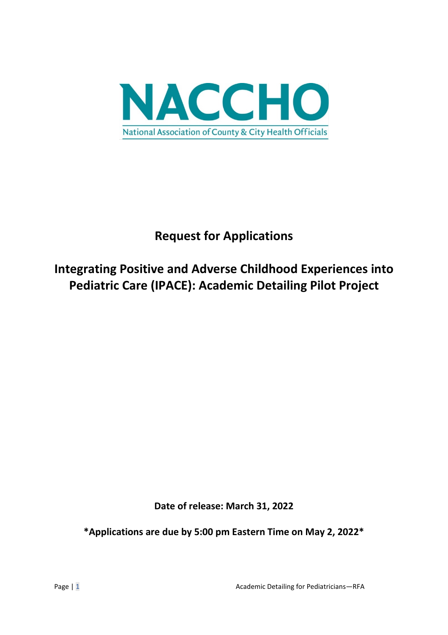

# **Request for Applications**

# **Integrating Positive and Adverse Childhood Experiences into Pediatric Care (IPACE): Academic Detailing Pilot Project**

**Date of release: March 31, 2022**

**\*Applications are due by 5:00 pm Eastern Time on May 2, 2022\***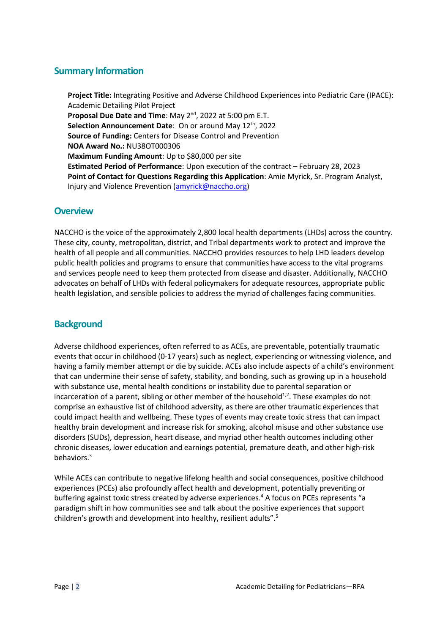## **Summary Information**

**Project Title:** Integrating Positive and Adverse Childhood Experiences into Pediatric Care (IPACE): Academic Detailing Pilot Project **Proposal Due Date and Time:** May 2<sup>nd</sup>, 2022 at 5:00 pm E.T. **Selection Announcement Date:** On or around May 12<sup>th</sup>, 2022 **Source of Funding:** Centers for Disease Control and Prevention **NOA Award No.:** NU38OT000306 **Maximum Funding Amount**: Up to \$80,000 per site **Estimated Period of Performance**: Upon execution of the contract – February 28, 2023 **Point of Contact for Questions Regarding this Application**: Amie Myrick, Sr. Program Analyst, Injury and Violence Prevention [\(amyrick@naccho.org\)](mailto:amyrick@naccho.org)

## **Overview**

NACCHO is the voice of the approximately 2,800 local health departments (LHDs) across the country. These city, county, metropolitan, district, and Tribal departments work to protect and improve the health of all people and all communities. NACCHO provides resources to help LHD leaders develop public health policies and programs to ensure that communities have access to the vital programs and services people need to keep them protected from disease and disaster. Additionally, NACCHO advocates on behalf of LHDs with federal policymakers for adequate resources, appropriate public health legislation, and sensible policies to address the myriad of challenges facing communities.

## **Background**

Adverse childhood experiences, often referred to as ACEs, are preventable, potentially traumatic events that occur in childhood (0-17 years) such as neglect, experiencing or witnessing violence, and having a family member attempt or die by suicide. ACEs also include aspects of a child's environment that can undermine their sense of safety, stability, and bonding, such as growing up in a household with substance use, mental health conditions or instability due to parental separation or incarceration of a parent, sibling or other member of the household $^{1,2}$ . These examples do not comprise an exhaustive list of childhood adversity, as there are other traumatic experiences that could impact health and wellbeing. These types of events may create toxic stress that can impact healthy brain development and increase risk for smoking, alcohol misuse and other substance use disorders (SUDs), depression, heart disease, and myriad other health outcomes including other chronic diseases, lower education and earnings potential, premature death, and other high-risk behaviors.3

While ACEs can contribute to negative lifelong health and social consequences, positive childhood experiences (PCEs) also profoundly affect health and development, potentially preventing or buffering against toxic stress created by adverse experiences. <sup>4</sup> A focus on PCEs represents "a paradigm shift in how communities see and talk about the positive experiences that support children's growth and development into healthy, resilient adults". 5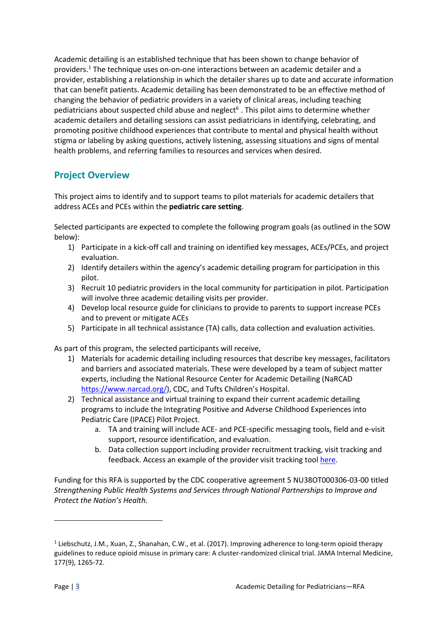Academic detailing is an established technique that has been shown to change behavior of providers.[1](#page-2-0) The technique uses on-on-one interactions between an academic detailer and a provider, establishing a relationship in which the detailer shares up to date and accurate information that can benefit patients. Academic detailing has been demonstrated to be an effective method of changing the behavior of pediatric providers in a variety of clinical areas, including teaching pediatricians about suspected child abuse and neglect<sup>6</sup>. This pilot aims to determine whether academic detailers and detailing sessions can assist pediatricians in identifying, celebrating, and promoting positive childhood experiences that contribute to mental and physical health without stigma or labeling by asking questions, actively listening, assessing situations and signs of mental health problems, and referring families to resources and services when desired.

### **Project Overview**

This project aims to identify and to support teams to pilot materials for academic detailers that address ACEs and PCEs within the **pediatric care setting**.

Selected participants are expected to complete the following program goals (as outlined in the SOW below):

- 1) Participate in a kick-off call and training on identified key messages, ACEs/PCEs, and project evaluation.
- 2) Identify detailers within the agency's academic detailing program for participation in this pilot.
- 3) Recruit 10 pediatric providers in the local community for participation in pilot. Participation will involve three academic detailing visits per provider.
- 4) Develop local resource guide for clinicians to provide to parents to support increase PCEs and to prevent or mitigate ACEs
- 5) Participate in all technical assistance (TA) calls, data collection and evaluation activities.

As part of this program, the selected participants will receive,

- 1) Materials for academic detailing including resources that describe key messages, facilitators and barriers and associated materials. These were developed by a team of subject matter experts, including the National Resource Center for Academic Detailing (NaRCAD [https://www.narcad.org/\)](https://www.narcad.org/), CDC, and Tufts Children's Hospital.
- 2) Technical assistance and virtual training to expand their current academic detailing programs to include the Integrating Positive and Adverse Childhood Experiences into Pediatric Care (IPACE) Pilot Project.
	- a. TA and training will include ACE- and PCE-specific messaging tools, field and e-visit support, resource identification, and evaluation.
	- b. Data collection support including provider recruitment tracking, visit tracking and feedback. Access an example of the provider visit tracking tool [here.](https://www.naccho.org/uploads/downloadable-resources/AD-Tracking-Tool-fillable-form.pdf)

Funding for this RFA is supported by the CDC cooperative agreement 5 NU38OT000306-03-00 titled *Strengthening Public Health Systems and Services through National Partnerships to Improve and Protect the Nation's Health.*

<span id="page-2-0"></span><sup>&</sup>lt;sup>1</sup> Liebschutz, J.M., Xuan, Z., Shanahan, C.W., et al. (2017). Improving adherence to long-term opioid therapy guidelines to reduce opioid misuse in primary care: A cluster-randomized clinical trial. JAMA Internal Medicine, 177(9), 1265-72.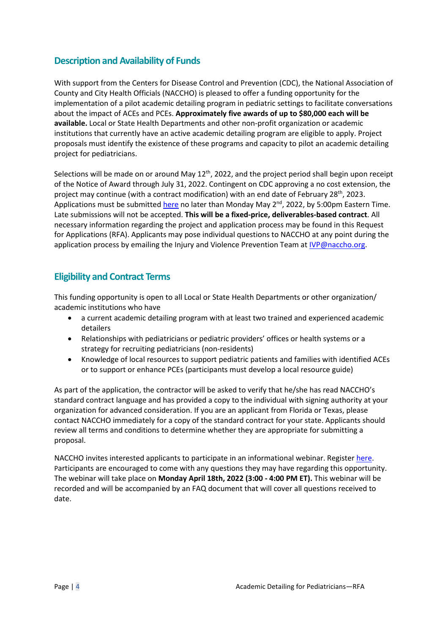## **Description and Availability of Funds**

With support from the Centers for Disease Control and Prevention (CDC), the National Association of County and City Health Officials (NACCHO) is pleased to offer a funding opportunity for the implementation of a pilot academic detailing program in pediatric settings to facilitate conversations about the impact of ACEs and PCEs. **Approximately five awards of up to \$80,000 each will be available.** Local or State Health Departments and other non-profit organization or academic institutions that currently have an active academic detailing program are eligible to apply. Project proposals must identify the existence of these programs and capacity to pilot an academic detailing project for pediatricians.

Selections will be made on or around May 12<sup>th</sup>, 2022, and the project period shall begin upon receipt of the Notice of Award through July 31, 2022. Contingent on CDC approving a no cost extension, the project may continue (with a contract modification) with an end date of February 28<sup>th</sup>, 2023. Applications must be submitte[d here](https://nacchoapplication.secure-platform.com/a/solicitations/23/home) no later than Monday May  $2^{nd}$ , 2022, by 5:00pm Eastern Time. Late submissions will not be accepted. **This will be a fixed-price, deliverables-based contract**. All necessary information regarding the project and application process may be found in this Request for Applications (RFA). Applicants may pose individual questions to NACCHO at any point during the application process by emailing the Injury and Violence Prevention Team at *IVP@naccho.org*.

## **Eligibility and Contract Terms**

This funding opportunity is open to all Local or State Health Departments or other organization/ academic institutions who have

- a current academic detailing program with at least two trained and experienced academic detailers
- Relationships with pediatricians or pediatric providers' offices or health systems or a strategy for recruiting pediatricians (non-residents)
- Knowledge of local resources to support pediatric patients and families with identified ACEs or to support or enhance PCEs (participants must develop a local resource guide)

As part of the application, the contractor will be asked to verify that he/she has read NACCHO's standard contract language and has provided a copy to the individual with signing authority at your organization for advanced consideration. If you are an applicant from Florida or Texas, please contact NACCHO immediately for a copy of the standard contract for your state. Applicants should review all terms and conditions to determine whether they are appropriate for submitting a proposal.

NACCHO invites interested applicants to participate in an informational webinar. Registe[r here.](https://naccho.zoom.us/meeting/register/tZAodu6tpjsrH9yz6-tNeGh_7siKmoT7topC) Participants are encouraged to come with any questions they may have regarding this opportunity. The webinar will take place on **Monday April 18th, 2022 (3:00 - 4:00 PM ET).** This webinar will be recorded and will be accompanied by an FAQ document that will cover all questions received to date.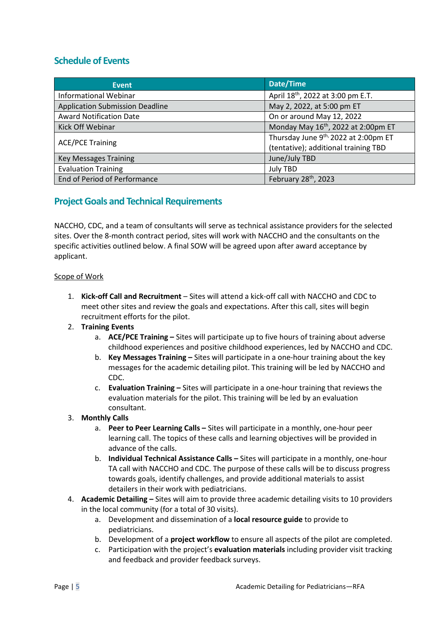## **Schedule of Events**

| Event                                  | Date/Time                                       |  |  |
|----------------------------------------|-------------------------------------------------|--|--|
| <b>Informational Webinar</b>           | April 18 <sup>th</sup> , 2022 at 3:00 pm E.T.   |  |  |
| <b>Application Submission Deadline</b> | May 2, 2022, at 5:00 pm ET                      |  |  |
| <b>Award Notification Date</b>         | On or around May 12, 2022                       |  |  |
| Kick Off Webinar                       | Monday May 16 <sup>th</sup> , 2022 at 2:00pm ET |  |  |
| <b>ACE/PCE Training</b>                | Thursday June 9th, 2022 at 2:00pm ET            |  |  |
|                                        | (tentative); additional training TBD            |  |  |
| <b>Key Messages Training</b>           | June/July TBD                                   |  |  |
| <b>Evaluation Training</b>             | <b>July TBD</b>                                 |  |  |
| End of Period of Performance           | February 28 <sup>th</sup> , 2023                |  |  |

## **Project Goals and Technical Requirements**

NACCHO, CDC, and a team of consultants will serve as technical assistance providers for the selected sites. Over the 8-month contract period, sites will work with NACCHO and the consultants on the specific activities outlined below. A final SOW will be agreed upon after award acceptance by applicant.

#### Scope of Work

- 1. **Kick-off Call and Recruitment** Sites will attend a kick-off call with NACCHO and CDC to meet other sites and review the goals and expectations. After this call, sites will begin recruitment efforts for the pilot.
- 2. **Training Events**
	- a. **ACE/PCE Training –** Sites will participate up to five hours of training about adverse childhood experiences and positive childhood experiences, led by NACCHO and CDC.
	- b. **Key Messages Training –** Sites will participate in a one-hour training about the key messages for the academic detailing pilot. This training will be led by NACCHO and CDC.
	- c. **Evaluation Training –** Sites will participate in a one-hour training that reviews the evaluation materials for the pilot. This training will be led by an evaluation consultant.

#### 3. **Monthly Calls**

- a. **Peer to Peer Learning Calls –** Sites will participate in a monthly, one-hour peer learning call. The topics of these calls and learning objectives will be provided in advance of the calls.
- b. **Individual Technical Assistance Calls –** Sites will participate in a monthly, one-hour TA call with NACCHO and CDC. The purpose of these calls will be to discuss progress towards goals, identify challenges, and provide additional materials to assist detailers in their work with pediatricians.
- 4. **Academic Detailing –** Sites will aim to provide three academic detailing visits to 10 providers in the local community (for a total of 30 visits).
	- a. Development and dissemination of a **local resource guide** to provide to pediatricians.
	- b. Development of a **project workflow** to ensure all aspects of the pilot are completed.
	- c. Participation with the project's **evaluation materials** including provider visit tracking and feedback and provider feedback surveys.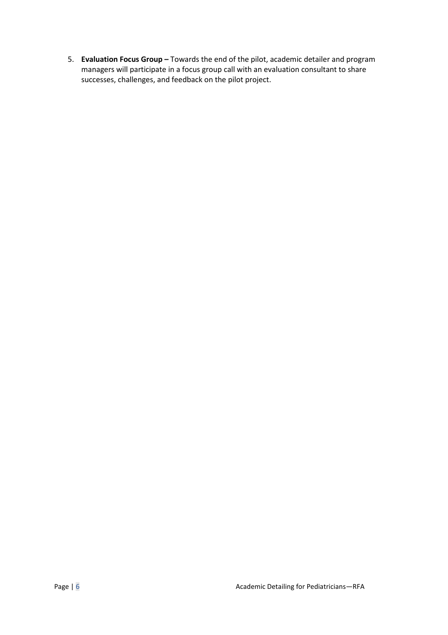5. **Evaluation Focus Group –** Towards the end of the pilot, academic detailer and program managers will participate in a focus group call with an evaluation consultant to share successes, challenges, and feedback on the pilot project.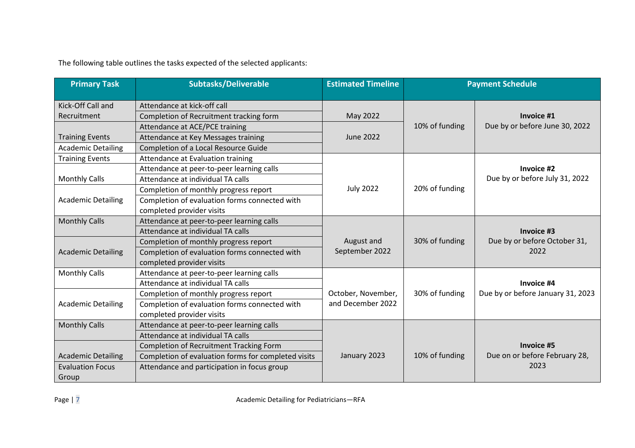The following table outlines the tasks expected of the selected applicants:

| <b>Primary Task</b>       | <b>Subtasks/Deliverable</b>                         | <b>Estimated Timeline</b> | <b>Payment Schedule</b> |                                   |
|---------------------------|-----------------------------------------------------|---------------------------|-------------------------|-----------------------------------|
| Kick-Off Call and         | Attendance at kick-off call                         |                           |                         |                                   |
| Recruitment               | Completion of Recruitment tracking form             | May 2022                  |                         | Invoice #1                        |
|                           | Attendance at ACE/PCE training                      |                           | 10% of funding          | Due by or before June 30, 2022    |
| <b>Training Events</b>    | Attendance at Key Messages training                 | June 2022                 |                         |                                   |
| <b>Academic Detailing</b> | Completion of a Local Resource Guide                |                           |                         |                                   |
| <b>Training Events</b>    | Attendance at Evaluation training                   |                           |                         |                                   |
|                           | Attendance at peer-to-peer learning calls           |                           |                         | Invoice #2                        |
| <b>Monthly Calls</b>      | Attendance at individual TA calls                   |                           |                         | Due by or before July 31, 2022    |
|                           | Completion of monthly progress report               | <b>July 2022</b>          | 20% of funding          |                                   |
| <b>Academic Detailing</b> | Completion of evaluation forms connected with       |                           |                         |                                   |
|                           | completed provider visits                           |                           |                         |                                   |
| <b>Monthly Calls</b>      | Attendance at peer-to-peer learning calls           |                           |                         |                                   |
|                           | Attendance at individual TA calls                   |                           |                         | Invoice #3                        |
|                           | Completion of monthly progress report               | August and                | 30% of funding          | Due by or before October 31,      |
| <b>Academic Detailing</b> | Completion of evaluation forms connected with       | September 2022            |                         | 2022                              |
|                           | completed provider visits                           |                           |                         |                                   |
| <b>Monthly Calls</b>      | Attendance at peer-to-peer learning calls           |                           |                         |                                   |
|                           | Attendance at individual TA calls                   |                           |                         | Invoice #4                        |
|                           | Completion of monthly progress report               | October, November,        | 30% of funding          | Due by or before January 31, 2023 |
| <b>Academic Detailing</b> | Completion of evaluation forms connected with       | and December 2022         |                         |                                   |
|                           | completed provider visits                           |                           |                         |                                   |
| <b>Monthly Calls</b>      | Attendance at peer-to-peer learning calls           |                           |                         |                                   |
|                           | Attendance at individual TA calls                   |                           |                         |                                   |
|                           | Completion of Recruitment Tracking Form             |                           |                         | <b>Invoice #5</b>                 |
| <b>Academic Detailing</b> | Completion of evaluation forms for completed visits | January 2023              | 10% of funding          | Due on or before February 28,     |
| <b>Evaluation Focus</b>   | Attendance and participation in focus group         |                           |                         | 2023                              |
| Group                     |                                                     |                           |                         |                                   |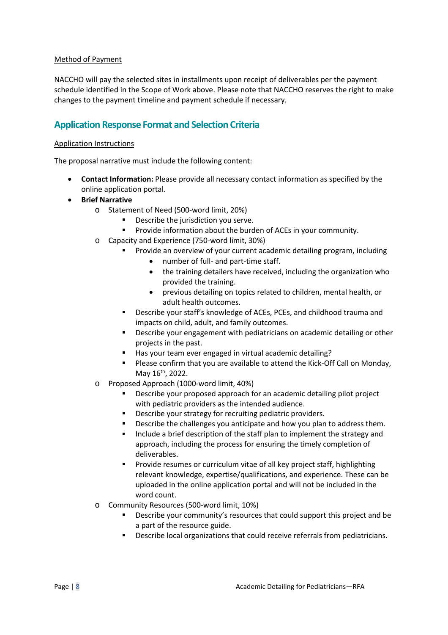#### Method of Payment

NACCHO will pay the selected sites in installments upon receipt of deliverables per the payment schedule identified in the Scope of Work above. Please note that NACCHO reserves the right to make changes to the payment timeline and payment schedule if necessary.

## **Application Response Format and Selection Criteria**

#### Application Instructions

The proposal narrative must include the following content:

- **Contact Information:** Please provide all necessary contact information as specified by the online application portal.
- **Brief Narrative**
	- o Statement of Need (500-word limit, 20%)
		- Describe the jurisdiction you serve.
			- **Provide information about the burden of ACEs in your community.**
	- o Capacity and Experience (750-word limit, 30%)
		- Provide an overview of your current academic detailing program, including
			- number of full- and part-time staff.
			- the training detailers have received, including the organization who provided the training.
			- previous detailing on topics related to children, mental health, or adult health outcomes.
		- **Describe your staff's knowledge of ACEs, PCEs, and childhood trauma and** impacts on child, adult, and family outcomes.
		- Describe your engagement with pediatricians on academic detailing or other projects in the past.
		- Has your team ever engaged in virtual academic detailing?
		- Please confirm that you are available to attend the Kick-Off Call on Monday, May  $16^{th}$ , 2022.
	- o Proposed Approach (1000-word limit, 40%)
		- Describe your proposed approach for an academic detailing pilot project with pediatric providers as the intended audience.
		- **Describe your strategy for recruiting pediatric providers.**
		- Describe the challenges you anticipate and how you plan to address them.
		- Include a brief description of the staff plan to implement the strategy and approach, including the process for ensuring the timely completion of deliverables.
		- Provide resumes or curriculum vitae of all key project staff, highlighting relevant knowledge, expertise/qualifications, and experience. These can be uploaded in the online application portal and will not be included in the word count.
	- o Community Resources (500-word limit, 10%)
		- Describe your community's resources that could support this project and be a part of the resource guide.
		- **Describe local organizations that could receive referrals from pediatricians.**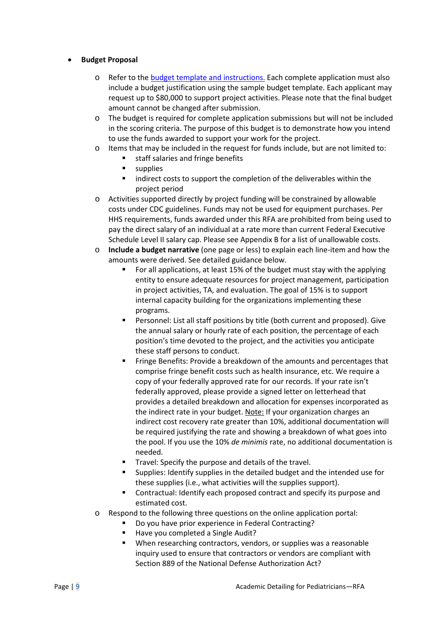#### • **Budget Proposal**

- Refer to the [budget template and instructions.](https://www.naccho.org/uploads/downloadable-resources/Budget-Template_Pediatric-AD.xlsx) Each complete application must also include a budget justification using the sample budget template. Each applicant may request up to \$80,000 to support project activities. Please note that the final budget amount cannot be changed after submission.
- o The budget is required for complete application submissions but will not be included in the scoring criteria. The purpose of this budget is to demonstrate how you intend to use the funds awarded to support your work for the project.
- o Items that may be included in the request for funds include, but are not limited to:<br> $\bullet$  staff salaries and fringe benefits
	- staff salaries and fringe benefits
	- **supplies**
	- **Indirect costs to support the completion of the deliverables within the** project period
- o Activities supported directly by project funding will be constrained by allowable costs under CDC guidelines. Funds may not be used for equipment purchases. Per HHS requirements, funds awarded under this RFA are prohibited from being used to pay the direct salary of an individual at a rate more than current Federal Executive Schedule Level II salary cap. Please see Appendix B for a list of unallowable costs.
- o **Include a budget narrative** (one page or less) to explain each line-item and how the amounts were derived. See detailed guidance below.
	- For all applications, at least 15% of the budget must stay with the applying entity to ensure adequate resources for project management, participation in project activities, TA, and evaluation. The goal of 15% is to support internal capacity building for the organizations implementing these programs.
	- Personnel: List all staff positions by title (both current and proposed). Give the annual salary or hourly rate of each position, the percentage of each position's time devoted to the project, and the activities you anticipate these staff persons to conduct.
	- **FRI** Fringe Benefits: Provide a breakdown of the amounts and percentages that comprise fringe benefit costs such as health insurance, etc. We require a copy of your federally approved rate for our records. If your rate isn't federally approved, please provide a signed letter on letterhead that provides a detailed breakdown and allocation for expenses incorporated as the indirect rate in your budget. Note: If your organization charges an indirect cost recovery rate greater than 10%, additional documentation will be required justifying the rate and showing a breakdown of what goes into the pool. If you use the 10% *de minimis* rate, no additional documentation is needed.
	- Travel: Specify the purpose and details of the travel.
	- Supplies: Identify supplies in the detailed budget and the intended use for these supplies (i.e., what activities will the supplies support).
	- **EXECONTE:** Contractual: Identify each proposed contract and specify its purpose and estimated cost.
- o Respond to the following three questions on the online application portal:
	- **Do you have prior experience in Federal Contracting?**
	- Have you completed a Single Audit?
	- When researching contractors, vendors, or supplies was a reasonable inquiry used to ensure that contractors or vendors are compliant with Section 889 of the National Defense Authorization Act?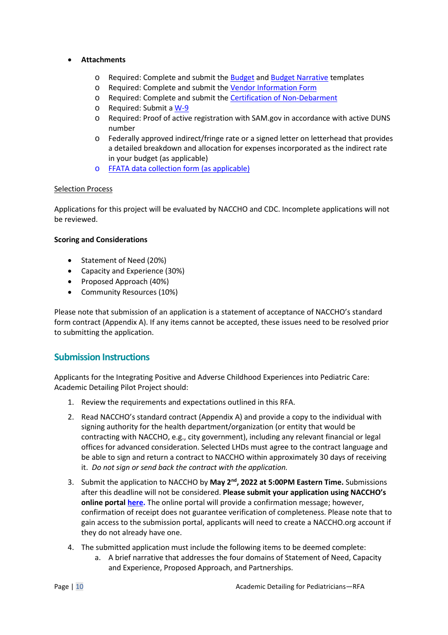#### • **Attachments**

- o Required: Complete and submit the [Budget](https://www.naccho.org/uploads/downloadable-resources/Budget-Template_Pediatric-AD.xlsx) and [Budget Narrative](https://www.naccho.org/uploads/downloadable-resources/Budget-narrative-template_blank.docx) templates
- o Required: Complete and submit the [Vendor Information Form](https://www.naccho.org/uploads/downloadable-resources/Vendor-Form.pdf)
- o Required: Complete and submit the [Certification of Non-Debarment](https://www.naccho.org/uploads/downloadable-resources/Certification-of-Non-Debarment.pdf)
- o Required: Submit a [W-9](https://www.naccho.org/uploads/downloadable-resources/W-9-Blank.pdf)
- o Required: Proof of active registration with SAM.gov in accordance with active DUNS number
- o Federally approved indirect/fringe rate or a signed letter on letterhead that provides a detailed breakdown and allocation for expenses incorporated as the indirect rate in your budget (as applicable)
- o [FFATA data collection form](https://www.naccho.org/uploads/downloadable-resources/FFATA-Data-Collection-Form.E.pdf) (as applicable)

#### Selection Process

Applications for this project will be evaluated by NACCHO and CDC. Incomplete applications will not be reviewed.

#### **Scoring and Considerations**

- Statement of Need (20%)
- Capacity and Experience (30%)
- Proposed Approach (40%)
- Community Resources (10%)

Please note that submission of an application is a statement of acceptance of NACCHO's standard form contract (Appendix A). If any items cannot be accepted, these issues need to be resolved prior to submitting the application.

### **Submission Instructions**

Applicants for the Integrating Positive and Adverse Childhood Experiences into Pediatric Care: Academic Detailing Pilot Project should:

- 1. Review the requirements and expectations outlined in this RFA.
- 2. Read NACCHO's standard contract (Appendix A) and provide a copy to the individual with signing authority for the health department/organization (or entity that would be contracting with NACCHO, e.g., city government), including any relevant financial or legal offices for advanced consideration. Selected LHDs must agree to the contract language and be able to sign and return a contract to NACCHO within approximately 30 days of receiving it. *Do not sign or send back the contract with the application.*
- 3. Submit the application to NACCHO by **May 2nd, 2022 at 5:00PM Eastern Time.** Submissions after this deadline will not be considered. **Please submit your application using NACCHO's online portal [here.](https://nacchoapplication.secure-platform.com/a/solicitations/23/home)** The online portal will provide a confirmation message; however, confirmation of receipt does not guarantee verification of completeness. Please note that to gain access to the submission portal, applicants will need to create a NACCHO.org account if they do not already have one.
- 4. The submitted application must include the following items to be deemed complete:
	- a. A brief narrative that addresses the four domains of Statement of Need, Capacity and Experience, Proposed Approach, and Partnerships.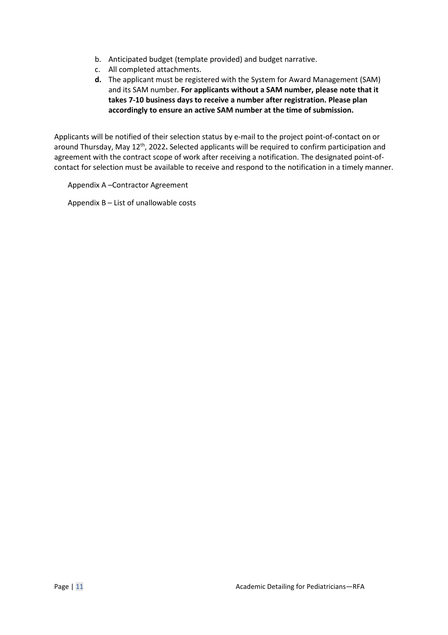- b. Anticipated budget (template provided) and budget narrative.
- c. All completed attachments.
- **d.** The applicant must be registered with the System for Award Management (SAM) and its SAM number. **For applicants without a SAM number, please note that it takes 7-10 business days to receive a number after registration. Please plan accordingly to ensure an active SAM number at the time of submission.**

Applicants will be notified of their selection status by e-mail to the project point-of-contact on or around Thursday, May 12<sup>th</sup>, 2022. Selected applicants will be required to confirm participation and agreement with the contract scope of work after receiving a notification. The designated point-ofcontact for selection must be available to receive and respond to the notification in a timely manner.

Appendix A –Contractor Agreement

Appendix B – List of unallowable costs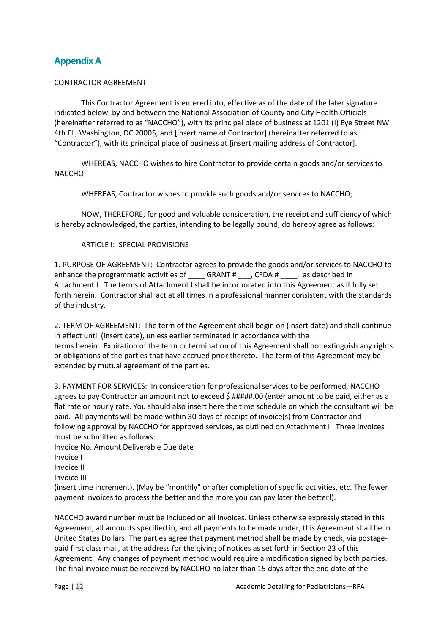## **Appendix A**

#### CONTRACTOR AGREEMENT

This Contractor Agreement is entered into, effective as of the date of the later signature indicated below, by and between the National Association of County and City Health Officials (hereinafter referred to as "NACCHO"), with its principal place of business at 1201 (I) Eye Street NW 4th Fl., Washington, DC 20005, and [insert name of Contractor] (hereinafter referred to as "Contractor"), with its principal place of business at [insert mailing address of Contractor].

WHEREAS, NACCHO wishes to hire Contractor to provide certain goods and/or services to NACCHO;

WHEREAS, Contractor wishes to provide such goods and/or services to NACCHO;

NOW, THEREFORE, for good and valuable consideration, the receipt and sufficiency of which is hereby acknowledged, the parties, intending to be legally bound, do hereby agree as follows:

#### ARTICLE I: SPECIAL PROVISIONS

1. PURPOSE OF AGREEMENT: Contractor agrees to provide the goods and/or services to NACCHO to enhance the programmatic activities of \_\_\_\_ GRANT # \_\_\_, CFDA # \_\_\_\_, as described in Attachment I. The terms of Attachment I shall be incorporated into this Agreement as if fully set forth herein. Contractor shall act at all times in a professional manner consistent with the standards of the industry.

2. TERM OF AGREEMENT: The term of the Agreement shall begin on (insert date) and shall continue in effect until (insert date), unless earlier terminated in accordance with the terms herein. Expiration of the term or termination of this Agreement shall not extinguish any rights or obligations of the parties that have accrued prior thereto. The term of this Agreement may be extended by mutual agreement of the parties.

3. PAYMENT FOR SERVICES: In consideration for professional services to be performed, NACCHO agrees to pay Contractor an amount not to exceed \$ #####.00 (enter amount to be paid, either as a flat rate or hourly rate. You should also insert here the time schedule on which the consultant will be paid. All payments will be made within 30 days of receipt of invoice(s) from Contractor and following approval by NACCHO for approved services, as outlined on Attachment I. Three invoices must be submitted as follows:

Invoice No. Amount Deliverable Due date

Invoice I

Invoice II

Invoice III

(insert time increment). (May be "monthly" or after completion of specific activities, etc. The fewer payment invoices to process the better and the more you can pay later the better!).

NACCHO award number must be included on all invoices. Unless otherwise expressly stated in this Agreement, all amounts specified in, and all payments to be made under, this Agreement shall be in United States Dollars. The parties agree that payment method shall be made by check, via postagepaid first class mail, at the address for the giving of notices as set forth in Section 23 of this Agreement. Any changes of payment method would require a modification signed by both parties. The final invoice must be received by NACCHO no later than 15 days after the end date of the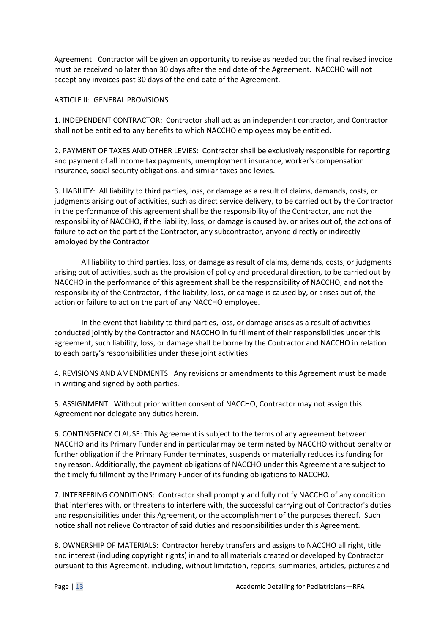Agreement. Contractor will be given an opportunity to revise as needed but the final revised invoice must be received no later than 30 days after the end date of the Agreement. NACCHO will not accept any invoices past 30 days of the end date of the Agreement.

#### ARTICLE II: GENERAL PROVISIONS

1. INDEPENDENT CONTRACTOR: Contractor shall act as an independent contractor, and Contractor shall not be entitled to any benefits to which NACCHO employees may be entitled.

2. PAYMENT OF TAXES AND OTHER LEVIES: Contractor shall be exclusively responsible for reporting and payment of all income tax payments, unemployment insurance, worker's compensation insurance, social security obligations, and similar taxes and levies.

3. LIABILITY: All liability to third parties, loss, or damage as a result of claims, demands, costs, or judgments arising out of activities, such as direct service delivery, to be carried out by the Contractor in the performance of this agreement shall be the responsibility of the Contractor, and not the responsibility of NACCHO, if the liability, loss, or damage is caused by, or arises out of, the actions of failure to act on the part of the Contractor, any subcontractor, anyone directly or indirectly employed by the Contractor.

All liability to third parties, loss, or damage as result of claims, demands, costs, or judgments arising out of activities, such as the provision of policy and procedural direction, to be carried out by NACCHO in the performance of this agreement shall be the responsibility of NACCHO, and not the responsibility of the Contractor, if the liability, loss, or damage is caused by, or arises out of, the action or failure to act on the part of any NACCHO employee.

In the event that liability to third parties, loss, or damage arises as a result of activities conducted jointly by the Contractor and NACCHO in fulfillment of their responsibilities under this agreement, such liability, loss, or damage shall be borne by the Contractor and NACCHO in relation to each party's responsibilities under these joint activities.

4. REVISIONS AND AMENDMENTS: Any revisions or amendments to this Agreement must be made in writing and signed by both parties.

5. ASSIGNMENT: Without prior written consent of NACCHO, Contractor may not assign this Agreement nor delegate any duties herein.

6. CONTINGENCY CLAUSE: This Agreement is subject to the terms of any agreement between NACCHO and its Primary Funder and in particular may be terminated by NACCHO without penalty or further obligation if the Primary Funder terminates, suspends or materially reduces its funding for any reason. Additionally, the payment obligations of NACCHO under this Agreement are subject to the timely fulfillment by the Primary Funder of its funding obligations to NACCHO.

7. INTERFERING CONDITIONS: Contractor shall promptly and fully notify NACCHO of any condition that interferes with, or threatens to interfere with, the successful carrying out of Contractor's duties and responsibilities under this Agreement, or the accomplishment of the purposes thereof. Such notice shall not relieve Contractor of said duties and responsibilities under this Agreement.

8. OWNERSHIP OF MATERIALS: Contractor hereby transfers and assigns to NACCHO all right, title and interest (including copyright rights) in and to all materials created or developed by Contractor pursuant to this Agreement, including, without limitation, reports, summaries, articles, pictures and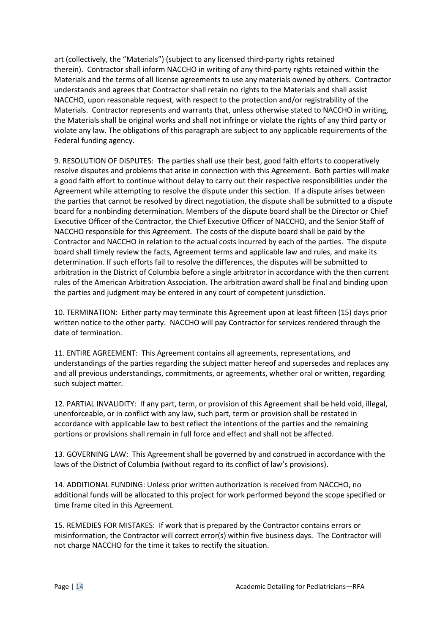art (collectively, the "Materials") (subject to any licensed third-party rights retained therein). Contractor shall inform NACCHO in writing of any third-party rights retained within the Materials and the terms of all license agreements to use any materials owned by others. Contractor understands and agrees that Contractor shall retain no rights to the Materials and shall assist NACCHO, upon reasonable request, with respect to the protection and/or registrability of the Materials. Contractor represents and warrants that, unless otherwise stated to NACCHO in writing, the Materials shall be original works and shall not infringe or violate the rights of any third party or violate any law. The obligations of this paragraph are subject to any applicable requirements of the Federal funding agency.

9. RESOLUTION OF DISPUTES: The parties shall use their best, good faith efforts to cooperatively resolve disputes and problems that arise in connection with this Agreement. Both parties will make a good faith effort to continue without delay to carry out their respective responsibilities under the Agreement while attempting to resolve the dispute under this section. If a dispute arises between the parties that cannot be resolved by direct negotiation, the dispute shall be submitted to a dispute board for a nonbinding determination. Members of the dispute board shall be the Director or Chief Executive Officer of the Contractor, the Chief Executive Officer of NACCHO, and the Senior Staff of NACCHO responsible for this Agreement. The costs of the dispute board shall be paid by the Contractor and NACCHO in relation to the actual costs incurred by each of the parties. The dispute board shall timely review the facts, Agreement terms and applicable law and rules, and make its determination. If such efforts fail to resolve the differences, the disputes will be submitted to arbitration in the District of Columbia before a single arbitrator in accordance with the then current rules of the American Arbitration Association. The arbitration award shall be final and binding upon the parties and judgment may be entered in any court of competent jurisdiction.

10. TERMINATION: Either party may terminate this Agreement upon at least fifteen (15) days prior written notice to the other party. NACCHO will pay Contractor for services rendered through the date of termination.

11. ENTIRE AGREEMENT: This Agreement contains all agreements, representations, and understandings of the parties regarding the subject matter hereof and supersedes and replaces any and all previous understandings, commitments, or agreements, whether oral or written, regarding such subject matter.

12. PARTIAL INVALIDITY: If any part, term, or provision of this Agreement shall be held void, illegal, unenforceable, or in conflict with any law, such part, term or provision shall be restated in accordance with applicable law to best reflect the intentions of the parties and the remaining portions or provisions shall remain in full force and effect and shall not be affected.

13. GOVERNING LAW: This Agreement shall be governed by and construed in accordance with the laws of the District of Columbia (without regard to its conflict of law's provisions).

14. ADDITIONAL FUNDING: Unless prior written authorization is received from NACCHO, no additional funds will be allocated to this project for work performed beyond the scope specified or time frame cited in this Agreement.

15. REMEDIES FOR MISTAKES: If work that is prepared by the Contractor contains errors or misinformation, the Contractor will correct error(s) within five business days. The Contractor will not charge NACCHO for the time it takes to rectify the situation.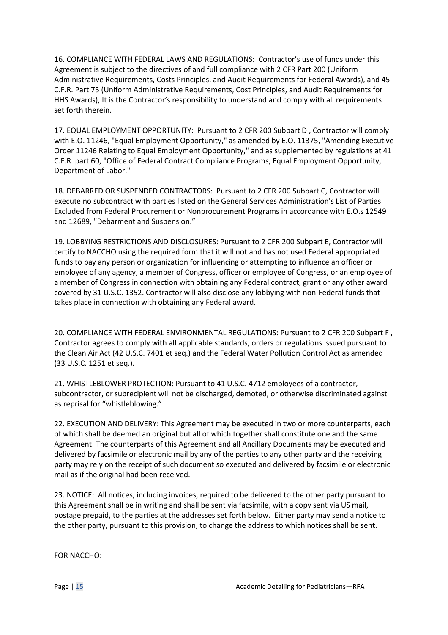16. COMPLIANCE WITH FEDERAL LAWS AND REGULATIONS: Contractor's use of funds under this Agreement is subject to the directives of and full compliance with 2 CFR Part 200 (Uniform Administrative Requirements, Costs Principles, and Audit Requirements for Federal Awards), and 45 C.F.R. Part 75 (Uniform Administrative Requirements, Cost Principles, and Audit Requirements for HHS Awards), It is the Contractor's responsibility to understand and comply with all requirements set forth therein.

17. EQUAL EMPLOYMENT OPPORTUNITY: Pursuant to 2 CFR 200 Subpart D , Contractor will comply with E.O. 11246, "Equal Employment Opportunity," as amended by E.O. 11375, "Amending Executive Order 11246 Relating to Equal Employment Opportunity," and as supplemented by regulations at 41 C.F.R. part 60, "Office of Federal Contract Compliance Programs, Equal Employment Opportunity, Department of Labor."

18. DEBARRED OR SUSPENDED CONTRACTORS: Pursuant to 2 CFR 200 Subpart C, Contractor will execute no subcontract with parties listed on the General Services Administration's List of Parties Excluded from Federal Procurement or Nonprocurement Programs in accordance with E.O.s 12549 and 12689, "Debarment and Suspension."

19. LOBBYING RESTRICTIONS AND DISCLOSURES: Pursuant to 2 CFR 200 Subpart E, Contractor will certify to NACCHO using the required form that it will not and has not used Federal appropriated funds to pay any person or organization for influencing or attempting to influence an officer or employee of any agency, a member of Congress, officer or employee of Congress, or an employee of a member of Congress in connection with obtaining any Federal contract, grant or any other award covered by 31 U.S.C. 1352. Contractor will also disclose any lobbying with non-Federal funds that takes place in connection with obtaining any Federal award.

20. COMPLIANCE WITH FEDERAL ENVIRONMENTAL REGULATIONS: Pursuant to 2 CFR 200 Subpart F , Contractor agrees to comply with all applicable standards, orders or regulations issued pursuant to the Clean Air Act (42 U.S.C. 7401 et seq.) and the Federal Water Pollution Control Act as amended (33 U.S.C. 1251 et seq.).

21. WHISTLEBLOWER PROTECTION: Pursuant to 41 U.S.C. 4712 employees of a contractor, subcontractor, or subrecipient will not be discharged, demoted, or otherwise discriminated against as reprisal for "whistleblowing."

22. EXECUTION AND DELIVERY: This Agreement may be executed in two or more counterparts, each of which shall be deemed an original but all of which together shall constitute one and the same Agreement. The counterparts of this Agreement and all Ancillary Documents may be executed and delivered by facsimile or electronic mail by any of the parties to any other party and the receiving party may rely on the receipt of such document so executed and delivered by facsimile or electronic mail as if the original had been received.

23. NOTICE: All notices, including invoices, required to be delivered to the other party pursuant to this Agreement shall be in writing and shall be sent via facsimile, with a copy sent via US mail, postage prepaid, to the parties at the addresses set forth below. Either party may send a notice to the other party, pursuant to this provision, to change the address to which notices shall be sent.

FOR NACCHO: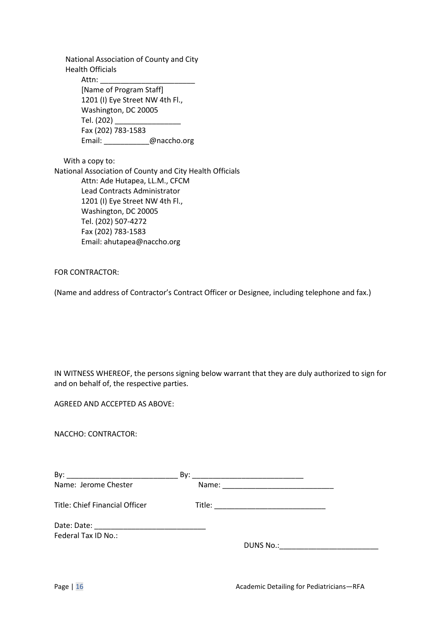National Association of County and City Health Officials Attn: [Name of Program Staff] 1201 (I) Eye Street NW 4th Fl., Washington, DC 20005 Tel. (202) \_\_\_\_\_\_\_\_\_\_\_\_\_\_\_\_ Fax (202) 783-1583 Email: \_\_\_\_\_\_\_\_\_\_\_@naccho.org

 With a copy to: National Association of County and City Health Officials Attn: Ade Hutapea, LL.M., CFCM Lead Contracts Administrator 1201 (I) Eye Street NW 4th Fl., Washington, DC 20005 Tel. (202) 507-4272 Fax (202) 783-1583 Email: ahutapea@naccho.org

FOR CONTRACTOR:

(Name and address of Contractor's Contract Officer or Designee, including telephone and fax.)

IN WITNESS WHEREOF, the persons signing below warrant that they are duly authorized to sign for and on behalf of, the respective parties.

AGREED AND ACCEPTED AS ABOVE:

NACCHO: CONTRACTOR:

| By:                            |                                  |
|--------------------------------|----------------------------------|
| Name: Jerome Chester           |                                  |
| Title: Chief Financial Officer |                                  |
|                                |                                  |
| Federal Tax ID No.:            |                                  |
|                                | DUNS No.: ______________________ |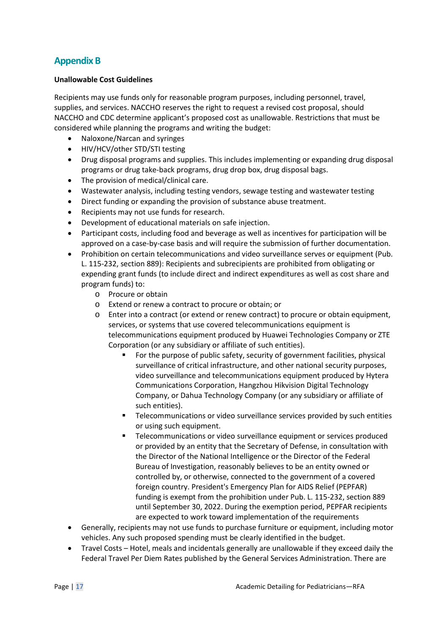# **Appendix B**

#### **Unallowable Cost Guidelines**

Recipients may use funds only for reasonable program purposes, including personnel, travel, supplies, and services. NACCHO reserves the right to request a revised cost proposal, should NACCHO and CDC determine applicant's proposed cost as unallowable. Restrictions that must be considered while planning the programs and writing the budget:

- Naloxone/Narcan and syringes
- HIV/HCV/other STD/STI testing
- Drug disposal programs and supplies. This includes implementing or expanding drug disposal programs or drug take-back programs, drug drop box, drug disposal bags.
- The provision of medical/clinical care.
- Wastewater analysis, including testing vendors, sewage testing and wastewater testing
- Direct funding or expanding the provision of substance abuse treatment.
- Recipients may not use funds for research.
- Development of educational materials on safe injection.
- Participant costs, including food and beverage as well as incentives for participation will be approved on a case-by-case basis and will require the submission of further documentation.
- Prohibition on certain telecommunications and video surveillance serves or equipment (Pub. L. 115-232, section 889): Recipients and subrecipients are prohibited from obligating or expending grant funds (to include direct and indirect expenditures as well as cost share and program funds) to:
	- o Procure or obtain
	- o Extend or renew a contract to procure or obtain; or
	- o Enter into a contract (or extend or renew contract) to procure or obtain equipment, services, or systems that use covered telecommunications equipment is telecommunications equipment produced by Huawei Technologies Company or ZTE Corporation (or any subsidiary or affiliate of such entities).
		- For the purpose of public safety, security of government facilities, physical surveillance of critical infrastructure, and other national security purposes, video surveillance and telecommunications equipment produced by Hytera Communications Corporation, Hangzhou Hikvision Digital Technology Company, or Dahua Technology Company (or any subsidiary or affiliate of such entities).
		- **Telecommunications or video surveillance services provided by such entities** or using such equipment.
		- Telecommunications or video surveillance equipment or services produced or provided by an entity that the Secretary of Defense, in consultation with the Director of the National Intelligence or the Director of the Federal Bureau of Investigation, reasonably believes to be an entity owned or controlled by, or otherwise, connected to the government of a covered foreign country. President's Emergency Plan for AIDS Relief (PEPFAR) funding is exempt from the prohibition under Pub. L. 115-232, section 889 until September 30, 2022. During the exemption period, PEPFAR recipients are expected to work toward implementation of the requirements
- Generally, recipients may not use funds to purchase furniture or equipment, including motor vehicles. Any such proposed spending must be clearly identified in the budget.
- Travel Costs Hotel, meals and incidentals generally are unallowable if they exceed daily the Federal Travel Per Diem Rates published by the General Services Administration. There are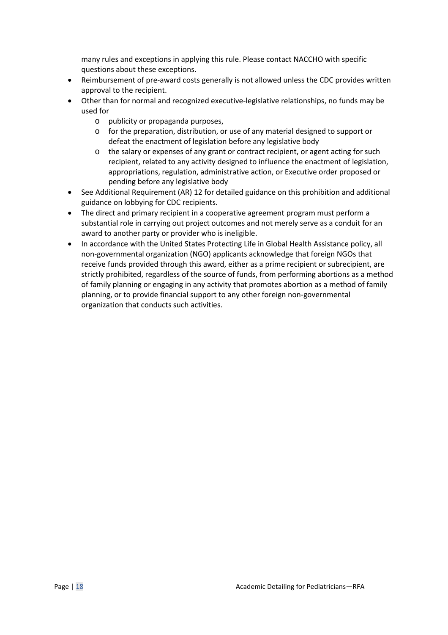many rules and exceptions in applying this rule. Please contact NACCHO with specific questions about these exceptions.

- Reimbursement of pre-award costs generally is not allowed unless the CDC provides written approval to the recipient.
- Other than for normal and recognized executive-legislative relationships, no funds may be used for
	- o publicity or propaganda purposes,
	- o for the preparation, distribution, or use of any material designed to support or defeat the enactment of legislation before any legislative body
	- o the salary or expenses of any grant or contract recipient, or agent acting for such recipient, related to any activity designed to influence the enactment of legislation, appropriations, regulation, administrative action, or Executive order proposed or pending before any legislative body
- See Additional Requirement (AR) 12 for detailed guidance on this prohibition and additional guidance on lobbying for CDC recipients.
- The direct and primary recipient in a cooperative agreement program must perform a substantial role in carrying out project outcomes and not merely serve as a conduit for an award to another party or provider who is ineligible.
- In accordance with the United States Protecting Life in Global Health Assistance policy, all non-governmental organization (NGO) applicants acknowledge that foreign NGOs that receive funds provided through this award, either as a prime recipient or subrecipient, are strictly prohibited, regardless of the source of funds, from performing abortions as a method of family planning or engaging in any activity that promotes abortion as a method of family planning, or to provide financial support to any other foreign non-governmental organization that conducts such activities.